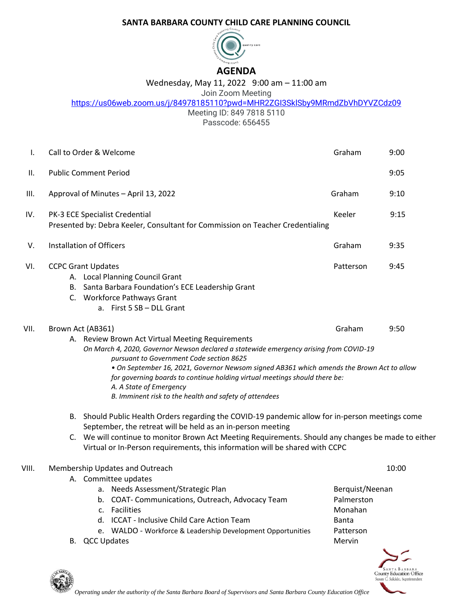## **SANTA BARBARA COUNTY CHILD CARE PLANNING COUNCIL**



## Wednesday, May 11, 2022 9:00 am – 11:00 am

## Join Zoom Meeting

<https://us06web.zoom.us/j/84978185110?pwd=MHR2ZGI3SklSby9MRmdZbVhDYVZCdz09>

Meeting ID: 849 7818 5110 Passcode: 656455

| Ι.    | Call to Order & Welcome                                                                                                                                                                                                                                                                                                                                                                                                                                                                       | Graham                                                                          | 9:00  |  |
|-------|-----------------------------------------------------------------------------------------------------------------------------------------------------------------------------------------------------------------------------------------------------------------------------------------------------------------------------------------------------------------------------------------------------------------------------------------------------------------------------------------------|---------------------------------------------------------------------------------|-------|--|
| Ш.    | <b>Public Comment Period</b>                                                                                                                                                                                                                                                                                                                                                                                                                                                                  |                                                                                 | 9:05  |  |
| III.  | Approval of Minutes - April 13, 2022                                                                                                                                                                                                                                                                                                                                                                                                                                                          | Graham                                                                          | 9:10  |  |
| IV.   | PK-3 ECE Specialist Credential<br>Presented by: Debra Keeler, Consultant for Commission on Teacher Credentialing                                                                                                                                                                                                                                                                                                                                                                              | Keeler                                                                          | 9:15  |  |
| V.    | Installation of Officers                                                                                                                                                                                                                                                                                                                                                                                                                                                                      | Graham                                                                          | 9:35  |  |
| VI.   | <b>CCPC Grant Updates</b><br>A. Local Planning Council Grant<br>B. Santa Barbara Foundation's ECE Leadership Grant<br>C. Workforce Pathways Grant<br>a. First 5 SB - DLL Grant                                                                                                                                                                                                                                                                                                                | Patterson                                                                       | 9:45  |  |
| VII.  | Graham<br>9:50<br>Brown Act (AB361)<br>A. Review Brown Act Virtual Meeting Requirements<br>On March 4, 2020, Governor Newson declared a statewide emergency arising from COVID-19<br>pursuant to Government Code section 8625<br>. On September 16, 2021, Governor Newsom signed AB361 which amends the Brown Act to allow<br>for governing boards to continue holding virtual meetings should there be:<br>A. A State of Emergency<br>B. Imminent risk to the health and safety of attendees |                                                                                 |       |  |
|       | B. Should Public Health Orders regarding the COVID-19 pandemic allow for in-person meetings come<br>September, the retreat will be held as an in-person meeting<br>C. We will continue to monitor Brown Act Meeting Requirements. Should any changes be made to either<br>Virtual or In-Person requirements, this information will be shared with CCPC                                                                                                                                        |                                                                                 |       |  |
| VIII. | Membership Updates and Outreach<br>A. Committee updates<br>a. Needs Assessment/Strategic Plan<br>COAT- Communications, Outreach, Advocacy Team<br>b.<br><b>Facilities</b><br>$C_{\star}$<br>d. ICCAT - Inclusive Child Care Action Team<br>e. WALDO - Workforce & Leadership Development Opportunities<br>B. QCC Updates                                                                                                                                                                      | Berquist/Neenan<br>Palmerston<br>Monahan<br><b>Banta</b><br>Patterson<br>Mervin | 10:00 |  |